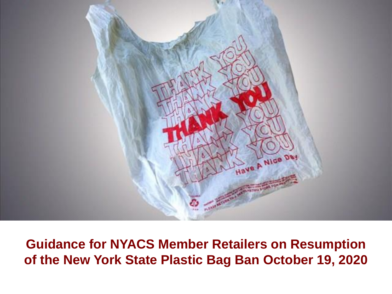

**Guidance for NYACS Member Retailers on Resumption of the New York State Plastic Bag Ban October 19, 2020**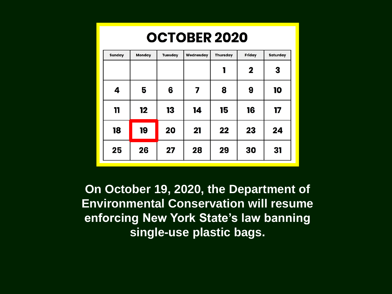|  |  | <b>OCTOBER 2020</b> |  |  |
|--|--|---------------------|--|--|
|  |  |                     |  |  |

| <b>Sunday</b> | <b>Monday</b> | <b>Tuesday</b> | Wednesday | <b>Thursday</b> | Friday      | <b>Saturday</b> |
|---------------|---------------|----------------|-----------|-----------------|-------------|-----------------|
|               |               |                |           | 1               | $\mathbf 2$ | 3               |
| 4             | 5             | 6              | 7         | 8               | 9           | 10              |
| 11            | 12            | 13             | 14        | 15              | 16          | 17              |
| 18            | 19            | 20             | 21        | 22              | 23          | 24              |
| 25            | 26            | 27             | 28        | 29              | 30          | 31              |

**On October 19, 2020, the Department of Environmental Conservation will resume enforcing New York State's law banning single-use plastic bags.**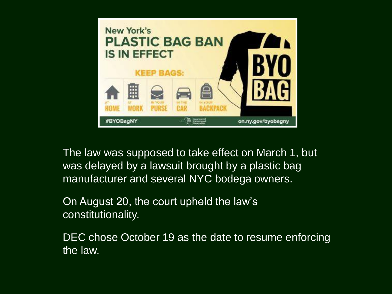

The law was supposed to take effect on March 1, but was delayed by a lawsuit brought by a plastic bag manufacturer and several NYC bodega owners.

On August 20, the court upheld the law's constitutionality.

DEC chose October 19 as the date to resume enforcing the law.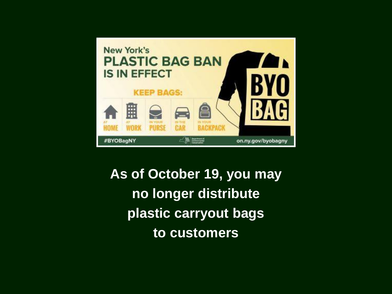

**As of October 19, you may no longer distribute plastic carryout bags to customers**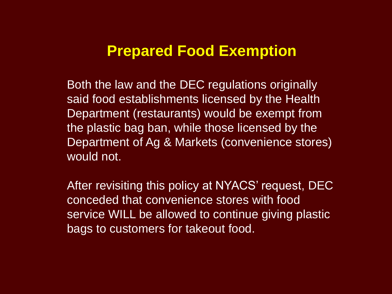#### **Prepared Food Exemption**

Both the law and the DEC regulations originally said food establishments licensed by the Health Department (restaurants) would be exempt from the plastic bag ban, while those licensed by the Department of Ag & Markets (convenience stores) would not.

After revisiting this policy at NYACS' request, DEC conceded that convenience stores with food service WILL be allowed to continue giving plastic bags to customers for takeout food.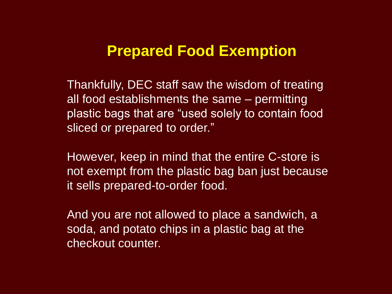## **Prepared Food Exemption**

Thankfully, DEC staff saw the wisdom of treating all food establishments the same – permitting plastic bags that are "used solely to contain food sliced or prepared to order."

However, keep in mind that the entire C-store is not exempt from the plastic bag ban just because it sells prepared-to-order food.

And you are not allowed to place a sandwich, a soda, and potato chips in a plastic bag at the checkout counter.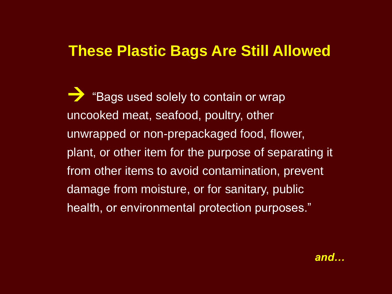## **These Plastic Bags Are Still Allowed**

 "Bags used solely to contain or wrap uncooked meat, seafood, poultry, other unwrapped or non-prepackaged food, flower, plant, or other item for the purpose of separating it from other items to avoid contamination, prevent damage from moisture, or for sanitary, public health, or environmental protection purposes."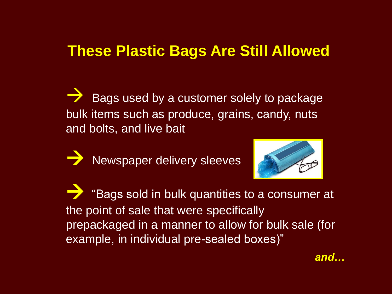#### **These Plastic Bags Are Still Allowed**

 Bags used by a customer solely to package bulk items such as produce, grains, candy, nuts and bolts, and live bait

Newspaper delivery sleeves



 "Bags sold in bulk quantities to a consumer at the point of sale that were specifically prepackaged in a manner to allow for bulk sale (for example, in individual pre-sealed boxes)"

*and…*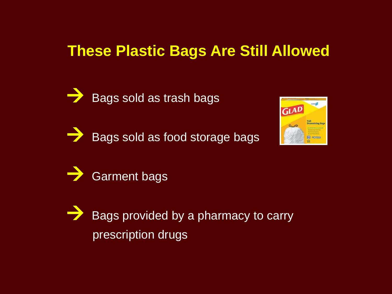## **These Plastic Bags Are Still Allowed**



Bags sold as trash bags

Bags sold as food storage bags





 Bags provided by a pharmacy to carry prescription drugs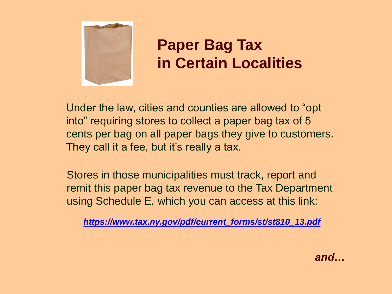

# **Paper Bag Tax in Certain Localities**

Under the law, cities and counties are allowed to "opt into" requiring stores to collect a paper bag tax of 5 cents per bag on all paper bags they give to customers. They call it a fee, but it's really a tax.

Stores in those municipalities must track, report and remit this paper bag tax revenue to the Tax Department using Schedule E, which you can access at this link:

*https://www.tax.ny.gov/pdf/current\_forms/st/st810\_13.pdf*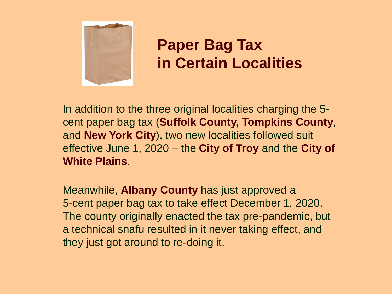

# **Paper Bag Tax in Certain Localities**

In addition to the three original localities charging the 5 cent paper bag tax (**Suffolk County, Tompkins County**, and **New York City**), two new localities followed suit effective June 1, 2020 – the **City of Troy** and the **City of White Plains**.

Meanwhile, **Albany County** has just approved a 5-cent paper bag tax to take effect December 1, 2020. The county originally enacted the tax pre-pandemic, but a technical snafu resulted in it never taking effect, and they just got around to re-doing it.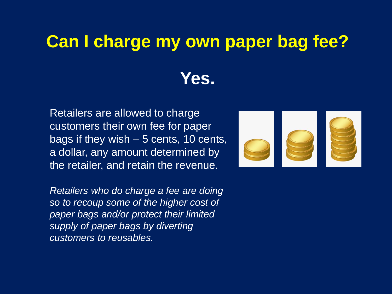# **Can I charge my own paper bag fee? Yes.**

Retailers are allowed to charge customers their own fee for paper bags if they wish – 5 cents, 10 cents, a dollar, any amount determined by the retailer, and retain the revenue.

*Retailers who do charge a fee are doing so to recoup some of the higher cost of paper bags and/or protect their limited supply of paper bags by diverting customers to reusables.*

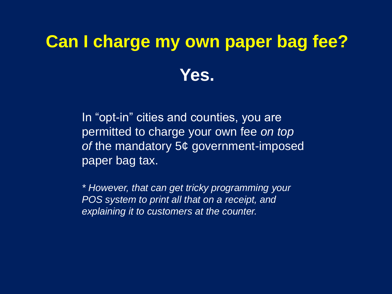# **Can I charge my own paper bag fee? Yes.**

In "opt-in" cities and counties, you are permitted to charge your own fee *on top of* the mandatory 5¢ government-imposed paper bag tax.

*\* However, that can get tricky programming your POS system to print all that on a receipt, and explaining it to customers at the counter.*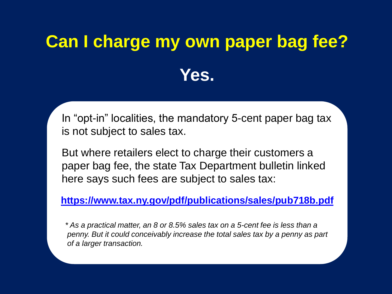# **Can I charge my own paper bag fee? Yes.**

In "opt-in" localities, the mandatory 5-cent paper bag tax is not subject to sales tax.

But where retailers elect to charge their customers a paper bag fee, the state Tax Department bulletin linked here says such fees are subject to sales tax:

**https://www.tax.ny.gov/pdf/publications/sales/pub718b.pdf**

*\* As a practical matter, an 8 or 8.5% sales tax on a 5-cent fee is less than a penny. But it could conceivably increase the total sales tax by a penny as part of a larger transaction.*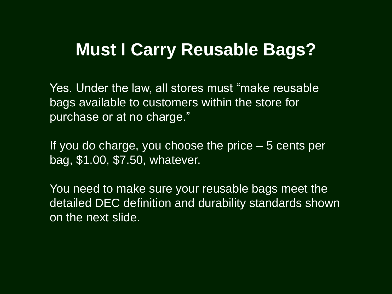# **Must I Carry Reusable Bags?**

Yes. Under the law, all stores must "make reusable bags available to customers within the store for purchase or at no charge."

If you do charge, you choose the price – 5 cents per bag, \$1.00, \$7.50, whatever.

You need to make sure your reusable bags meet the detailed DEC definition and durability standards shown on the next slide.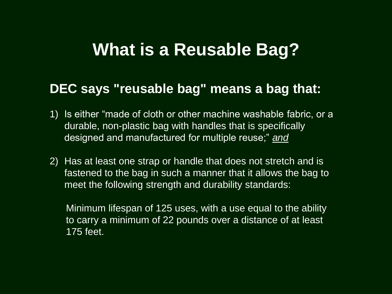# **What is a Reusable Bag?**

#### **DEC says "reusable bag" means a bag that:**

- 1) Is either "made of cloth or other machine washable fabric, or a durable, non-plastic bag with handles that is specifically designed and manufactured for multiple reuse;" *and*
- 2) Has at least one strap or handle that does not stretch and is fastened to the bag in such a manner that it allows the bag to meet the following strength and durability standards:

Minimum lifespan of 125 uses, with a use equal to the ability to carry a minimum of 22 pounds over a distance of at least 175 feet.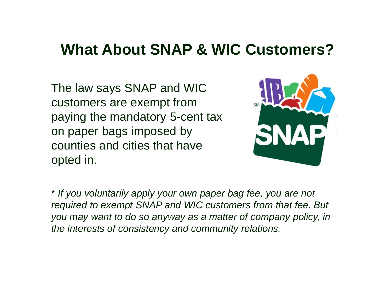## **What About SNAP & WIC Customers?**

The law says SNAP and WIC customers are exempt from paying the mandatory 5-cent tax on paper bags imposed by counties and cities that have opted in.



\* *If you voluntarily apply your own paper bag fee, you are not required to exempt SNAP and WIC customers from that fee. But you may want to do so anyway as a matter of company policy, in the interests of consistency and community relations.*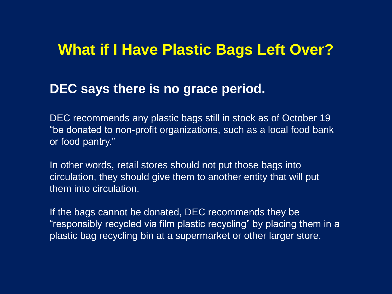#### **What if I Have Plastic Bags Left Over?**

#### **DEC says there is no grace period.**

DEC recommends any plastic bags still in stock as of October 19 "be donated to non-profit organizations, such as a local food bank or food pantry."

In other words, retail stores should not put those bags into circulation, they should give them to another entity that will put them into circulation.

If the bags cannot be donated, DEC recommends they be "responsibly recycled via film plastic recycling" by placing them in a plastic bag recycling bin at a supermarket or other larger store.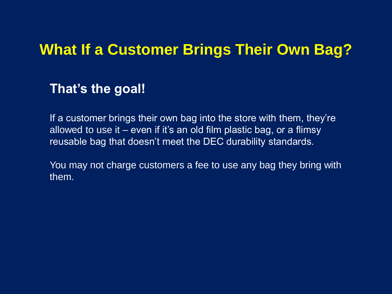## **What If a Customer Brings Their Own Bag?**

#### **That's the goal!**

If a customer brings their own bag into the store with them, they're allowed to use it – even if it's an old film plastic bag, or a flimsy reusable bag that doesn't meet the DEC durability standards.

You may not charge customers a fee to use any bag they bring with them.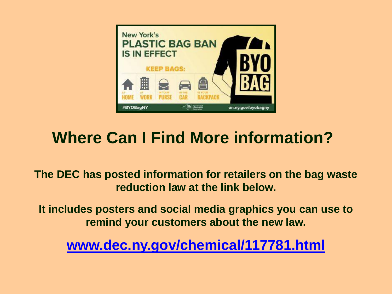

# **Where Can I Find More information?**

**The DEC has posted information for retailers on the bag waste reduction law at the link below.**

**It includes posters and social media graphics you can use to remind your customers about the new law.**

**www.dec.ny.gov/chemical/117781.html**